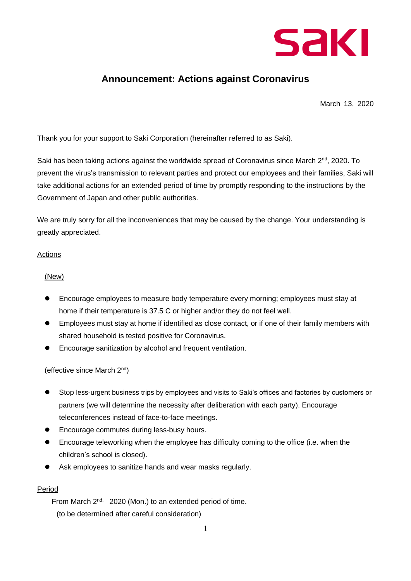

# **Announcement: Actions against Coronavirus**

March 13, 2020

Thank you for your support to Saki Corporation (hereinafter referred to as Saki).

Saki has been taking actions against the worldwide spread of Coronavirus since March  $2^{nd}$ , 2020. To prevent the virus's transmission to relevant parties and protect our employees and their families, Saki will take additional actions for an extended period of time by promptly responding to the instructions by the Government of Japan and other public authorities.

We are truly sorry for all the inconveniences that may be caused by the change. Your understanding is greatly appreciated.

### Actions

## (New)

- ⚫ Encourage employees to measure body temperature every morning; employees must stay at home if their temperature is 37.5 C or higher and/or they do not feel well.
- ⚫ Employees must stay at home if identified as close contact, or if one of their family members with shared household is tested positive for Coronavirus.
- ⚫ Encourage sanitization by alcohol and frequent ventilation.

### (effective since March 2nd)

- ⚫ Stop less-urgent business trips by employees and visits to Saki's offices and factories by customers or partners (we will determine the necessity after deliberation with each party). Encourage teleconferences instead of face-to-face meetings.
- ⚫ Encourage commutes during less-busy hours.
- ⚫ Encourage teleworking when the employee has difficulty coming to the office (i.e. when the children's school is closed).
- Ask employees to sanitize hands and wear masks regularly.

## Period

From March 2<sup>nd,</sup> 2020 (Mon.) to an extended period of time. (to be determined after careful consideration)